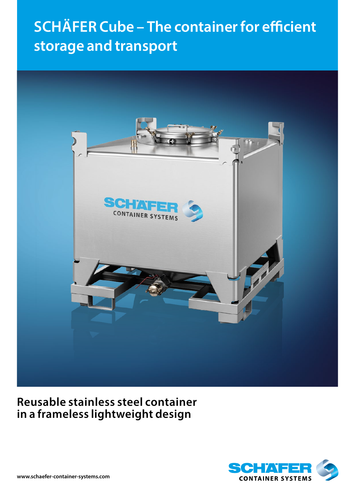# **SCHÄFER Cube – The container for efficient storage and transport**



# **Reusable stainless steel container in a frameless lightweight design**